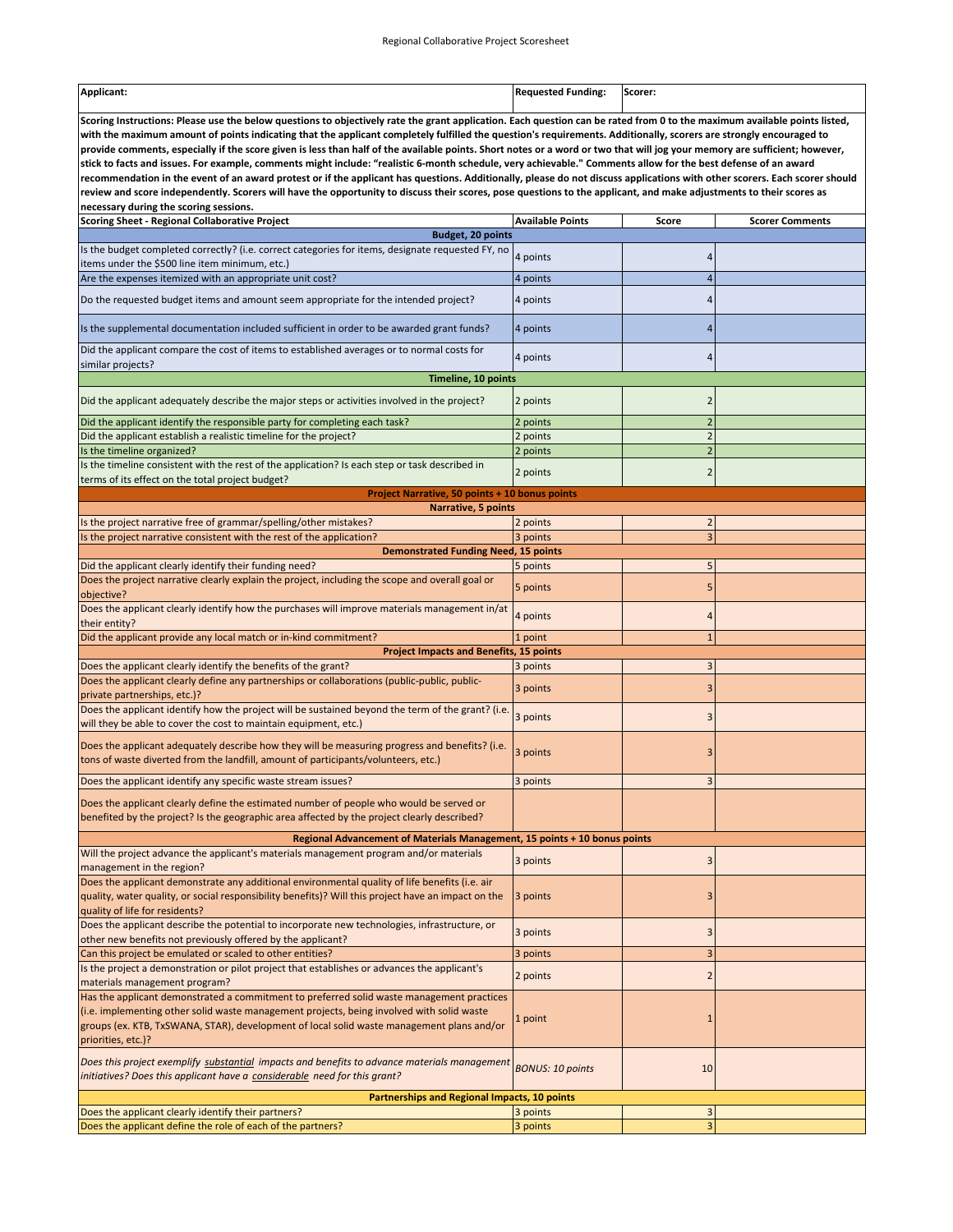| Applicant: | Requested Funding: | Scorer: |
|------------|--------------------|---------|
|            |                    |         |

**Scoring Instructions: Please use the below questions to objectively rate the grant application. Each question can be rated from 0 to the maximum available points listed, with the maximum amount of points indicating that the applicant completely fulfilled the question's requirements. Additionally, scorers are strongly encouraged to provide comments, especially if the score given is less than half of the available points. Short notes or a word or two that will jog your memory are sufficient; however, stick to facts and issues. For example, comments might include: "realistic 6‐month schedule, very achievable." Comments allow for the best defense of an award recommendation in the event of an award protest or if the applicant has questions. Additionally, please do not discuss applications with other scorers. Each scorer should review and score independently. Scorers will have the opportunity to discuss their scores, pose questions to the applicant, and make adjustments to their scores as necessary during the scoring sessions.** 

| <b>Scoring Sheet - Regional Collaborative Project</b>                                                                                                                                                                                   | <b>Available Points</b> | Score                   | <b>Scorer Comments</b> |
|-----------------------------------------------------------------------------------------------------------------------------------------------------------------------------------------------------------------------------------------|-------------------------|-------------------------|------------------------|
| <b>Budget, 20 points</b>                                                                                                                                                                                                                |                         |                         |                        |
| Is the budget completed correctly? (i.e. correct categories for items, designate requested FY, no<br>items under the \$500 line item minimum, etc.)                                                                                     | 4 points                | 4                       |                        |
| Are the expenses itemized with an appropriate unit cost?                                                                                                                                                                                | 4 points                | $\overline{4}$          |                        |
| Do the requested budget items and amount seem appropriate for the intended project?                                                                                                                                                     | 4 points                | 4                       |                        |
| Is the supplemental documentation included sufficient in order to be awarded grant funds?                                                                                                                                               | 4 points                | 4                       |                        |
| Did the applicant compare the cost of items to established averages or to normal costs for<br>similar projects?                                                                                                                         | 4 points                | 4                       |                        |
| Timeline, 10 points                                                                                                                                                                                                                     |                         |                         |                        |
| Did the applicant adequately describe the major steps or activities involved in the project?                                                                                                                                            | 2 points                | $\overline{2}$          |                        |
| Did the applicant identify the responsible party for completing each task?                                                                                                                                                              | 2 points                | $\overline{c}$          |                        |
| Did the applicant establish a realistic timeline for the project?                                                                                                                                                                       | 2 points                | $\overline{2}$          |                        |
| Is the timeline organized?                                                                                                                                                                                                              | 2 points                | $\overline{c}$          |                        |
| Is the timeline consistent with the rest of the application? Is each step or task described in                                                                                                                                          | 2 points                | $\overline{2}$          |                        |
| terms of its effect on the total project budget?                                                                                                                                                                                        |                         |                         |                        |
| <b>Project Narrative, 50 points + 10 bonus points</b>                                                                                                                                                                                   |                         |                         |                        |
| Narrative, 5 points                                                                                                                                                                                                                     |                         |                         |                        |
| Is the project narrative free of grammar/spelling/other mistakes?                                                                                                                                                                       | 2 points                | $\overline{2}$          |                        |
| Is the project narrative consistent with the rest of the application?                                                                                                                                                                   | 3 points                | $\overline{\mathbf{3}}$ |                        |
| <b>Demonstrated Funding Need, 15 points</b>                                                                                                                                                                                             |                         | 5                       |                        |
| Did the applicant clearly identify their funding need?<br>Does the project narrative clearly explain the project, including the scope and overall goal or                                                                               | 5 points<br>5 points    | 5                       |                        |
| objective?<br>Does the applicant clearly identify how the purchases will improve materials management in/at                                                                                                                             |                         |                         |                        |
| their entity?<br>Did the applicant provide any local match or in-kind commitment?                                                                                                                                                       | 4 points<br>1 point     | 4<br>$\overline{1}$     |                        |
| <b>Project Impacts and Benefits, 15 points</b>                                                                                                                                                                                          |                         |                         |                        |
| Does the applicant clearly identify the benefits of the grant?                                                                                                                                                                          | 3 points                | 3                       |                        |
| Does the applicant clearly define any partnerships or collaborations (public-public, public-<br>private partnerships, etc.)?                                                                                                            | 3 points                | 3                       |                        |
| Does the applicant identify how the project will be sustained beyond the term of the grant? (i.e.<br>will they be able to cover the cost to maintain equipment, etc.)                                                                   | 3 points                | 3                       |                        |
| Does the applicant adequately describe how they will be measuring progress and benefits? (i.e.                                                                                                                                          | 3 points                | 3                       |                        |
| tons of waste diverted from the landfill, amount of participants/volunteers, etc.)                                                                                                                                                      |                         |                         |                        |
| Does the applicant identify any specific waste stream issues?                                                                                                                                                                           | 3 points                | 3                       |                        |
| Does the applicant clearly define the estimated number of people who would be served or<br>benefited by the project? Is the geographic area affected by the project clearly described?                                                  |                         |                         |                        |
| Regional Advancement of Materials Management, 15 points + 10 bonus points                                                                                                                                                               |                         |                         |                        |
| Will the project advance the applicant's materials management program and/or materials<br>management in the region?                                                                                                                     | 3 points                | 3                       |                        |
| Does the applicant demonstrate any additional environmental quality of life benefits (i.e. air<br>quality, water quality, or social responsibility benefits)? Will this project have an impact on the<br>quality of life for residents? | 3 points                | 3                       |                        |
| Does the applicant describe the potential to incorporate new technologies, infrastructure, or                                                                                                                                           | 3 points                | 3                       |                        |
| other new benefits not previously offered by the applicant?                                                                                                                                                                             |                         |                         |                        |
| Can this project be emulated or scaled to other entities?<br>Is the project a demonstration or pilot project that establishes or advances the applicant's                                                                               | 3 points                | 3                       |                        |
| materials management program?                                                                                                                                                                                                           | 2 points                | $\overline{\mathbf{c}}$ |                        |
| Has the applicant demonstrated a commitment to preferred solid waste management practices                                                                                                                                               |                         |                         |                        |
| (i.e. implementing other solid waste management projects, being involved with solid waste<br>groups (ex. KTB, TxSWANA, STAR), development of local solid waste management plans and/or<br>priorities, etc.)?                            | 1 point                 | $\mathbf{1}$            |                        |
| Does this project exemplify substantial impacts and benefits to advance materials management<br>initiatives? Does this applicant have a considerable need for this grant?                                                               | <b>BONUS: 10 points</b> | 10                      |                        |
| <b>Partnerships and Regional Impacts, 10 points</b>                                                                                                                                                                                     |                         |                         |                        |
| Does the applicant clearly identify their partners?                                                                                                                                                                                     | 3 points                | $\overline{\mathbf{3}}$ |                        |
| Does the applicant define the role of each of the partners?                                                                                                                                                                             | 3 points                | 3                       |                        |